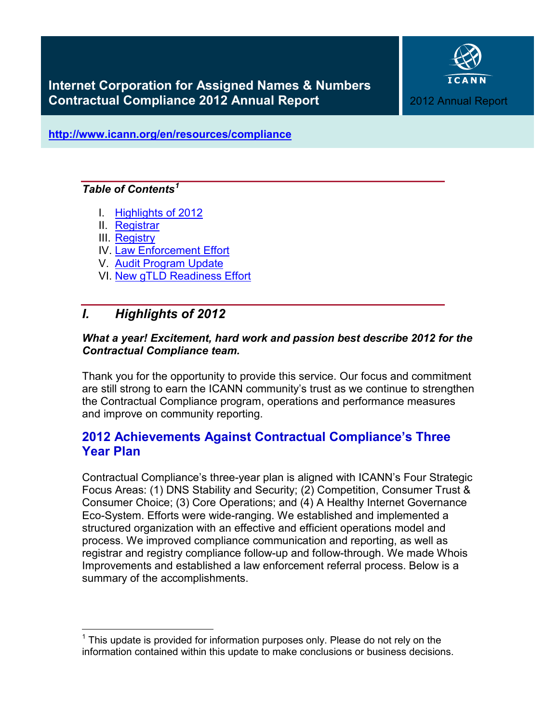

**<http://www.icann.org/en/resources/compliance>**

## *Table of Contents[1](#page-0-1)*

- I. [Highlights of 2012](#page-0-0)
- II. [Registrar](#page-4-0)
- III. [Registry](#page-8-0)
- IV. [Law Enforcement Effort](#page-10-0)
- V. [Audit Program Update](#page-10-1)
- <span id="page-0-0"></span>VI. [New gTLD Readiness Effort](#page-11-0)

# *I. Highlights of 2012*

## *What a year! Excitement, hard work and passion best describe 2012 for the Contractual Compliance team.*

Thank you for the opportunity to provide this service. Our focus and commitment are still strong to earn the ICANN community's trust as we continue to strengthen the Contractual Compliance program, operations and performance measures and improve on community reporting.

# **2012 Achievements Against Contractual Compliance's Three Year Plan**

Contractual Compliance's three-year plan is aligned with ICANN's Four Strategic Focus Areas: (1) DNS Stability and Security; (2) Competition, Consumer Trust & Consumer Choice; (3) Core Operations; and (4) A Healthy Internet Governance Eco-System. Efforts were wide-ranging. We established and implemented a structured organization with an effective and efficient operations model and process. We improved compliance communication and reporting, as well as registrar and registry compliance follow-up and follow-through. We made Whois Improvements and established a law enforcement referral process. Below is a summary of the accomplishments.

<span id="page-0-1"></span> $1$  This update is provided for information purposes only. Please do not rely on the information contained within this update to make conclusions or business decisions.  $\overline{1}$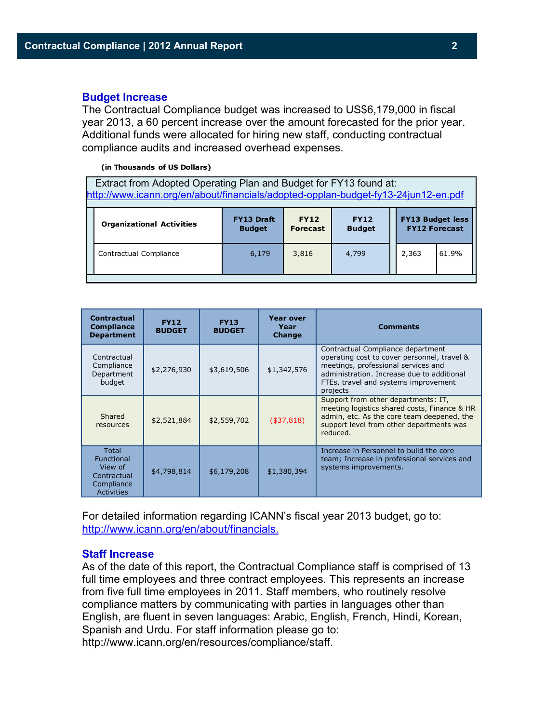#### **Budget Increase**

The Contractual Compliance budget was increased to US\$6,179,000 in fiscal year 2013, a 60 percent increase over the amount forecasted for the prior year. Additional funds were allocated for hiring new staff, conducting contractual compliance audits and increased overhead expenses.

#### **(in Thousands of US Dollars)**

 Extract from Adopted Operating Plan and Budget for FY13 found at: <http://www.icann.org/en/about/financials/adopted-opplan-budget-fy13-24jun12-en.pdf>

| <b>Organizational Activities</b> | <b>FY13 Draft</b> | <b>FY12</b>     | <b>FY12</b>   | <b>FY13 Budget less</b> |       |  |  |
|----------------------------------|-------------------|-----------------|---------------|-------------------------|-------|--|--|
|                                  | <b>Budget</b>     | <b>Forecast</b> | <b>Budget</b> | <b>FY12 Forecast</b>    |       |  |  |
| Contractual Compliance           | 6,179             | 3,816           | 4,799         | 2,363                   | 61.9% |  |  |

| <b>Contractual</b><br><b>Compliance</b><br><b>Department</b>              | <b>FY12</b><br><b>BUDGET</b> | <b>FY13</b><br><b>BUDGET</b> | <b>Year over</b><br>Year<br><b>Change</b> | <b>Comments</b>                                                                                                                                                                                                           |
|---------------------------------------------------------------------------|------------------------------|------------------------------|-------------------------------------------|---------------------------------------------------------------------------------------------------------------------------------------------------------------------------------------------------------------------------|
| Contractual<br>Compliance<br>Department<br>budget                         | \$2,276,930                  | \$3,619,506                  | \$1,342,576                               | Contractual Compliance department<br>operating cost to cover personnel, travel &<br>meetings, professional services and<br>administration. Increase due to additional<br>FTEs, travel and systems improvement<br>projects |
| Shared<br>resources                                                       | \$2,521,884                  | \$2,559,702                  | ( \$37, 818)                              | Support from other departments: IT,<br>meeting logistics shared costs, Finance & HR<br>admin, etc. As the core team deepened, the<br>support level from other departments was<br>reduced.                                 |
| Total<br>Functional<br>View of<br>Contractual<br>Compliance<br>Activities | \$4,798,814                  | \$6,179,208                  | \$1,380,394                               | Increase in Personnel to build the core<br>team; Increase in professional services and<br>systems improvements.                                                                                                           |

For detailed information regarding ICANN's fiscal year 2013 budget, go to: [http://www.icann.org/en/about/financials.](http://www.icann.org/en/about/financials)

#### **Staff Increase**

As of the date of this report, the Contractual Compliance staff is comprised of 13 full time employees and three contract employees. This represents an increase from five full time employees in 2011. Staff members, who routinely resolve compliance matters by communicating with parties in languages other than English, are fluent in seven languages: Arabic, English, French, Hindi, Korean, Spanish and Urdu. For staff information please go to:

http://www.icann.org/en/resources/compliance/staff.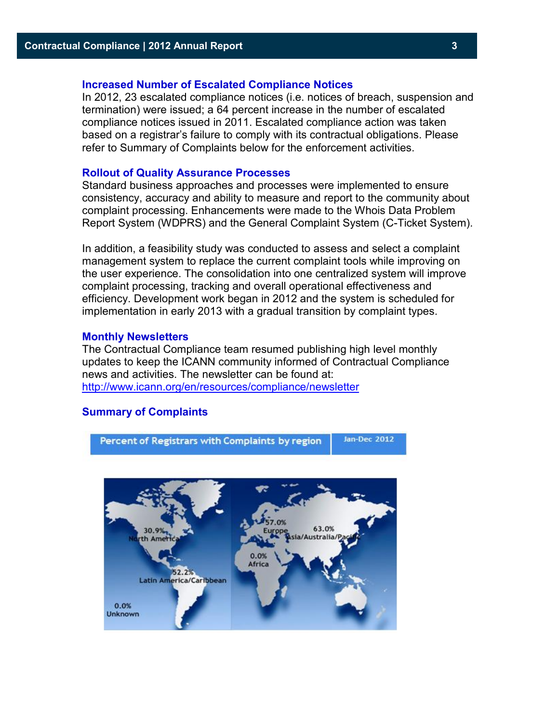#### **Increased Number of Escalated Compliance Notices**

In 2012, 23 escalated compliance notices (i.e. notices of breach, suspension and termination) were issued; a 64 percent increase in the number of escalated compliance notices issued in 2011. Escalated compliance action was taken based on a registrar's failure to comply with its contractual obligations. Please refer to Summary of Complaints below for the enforcement activities.

#### **Rollout of Quality Assurance Processes**

Standard business approaches and processes were implemented to ensure consistency, accuracy and ability to measure and report to the community about complaint processing. Enhancements were made to the Whois Data Problem Report System (WDPRS) and the General Complaint System (C-Ticket System).

In addition, a feasibility study was conducted to assess and select a complaint management system to replace the current complaint tools while improving on the user experience. The consolidation into one centralized system will improve complaint processing, tracking and overall operational effectiveness and efficiency. Development work began in 2012 and the system is scheduled for implementation in early 2013 with a gradual transition by complaint types.

#### **Monthly Newsletters**

The Contractual Compliance team resumed publishing high level monthly updates to keep the ICANN community informed of Contractual Compliance news and activities. The newsletter can be found at: <http://www.icann.org/en/resources/compliance/newsletter>

#### **Summary of Complaints**

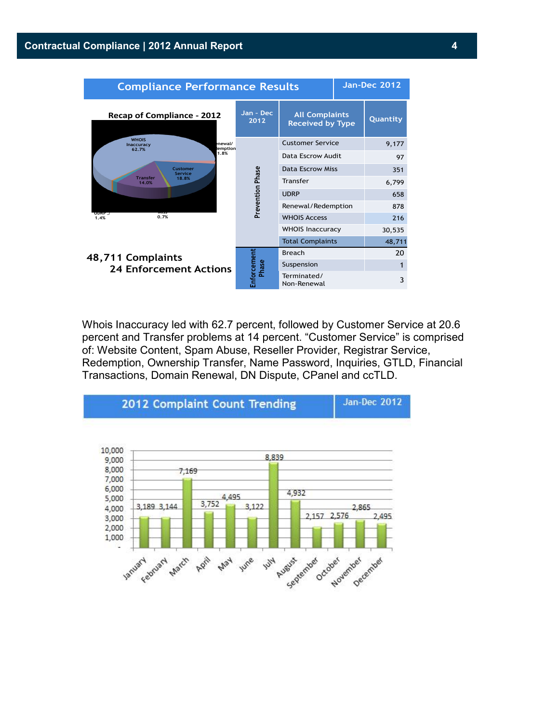

Whois Inaccuracy led with 62.7 percent, followed by Customer Service at 20.6 percent and Transfer problems at 14 percent. "Customer Service" is comprised of: Website Content, Spam Abuse, Reseller Provider, Registrar Service, Redemption, Ownership Transfer, Name Password, Inquiries, GTLD, Financial Transactions, Domain Renewal, DN Dispute, CPanel and ccTLD.

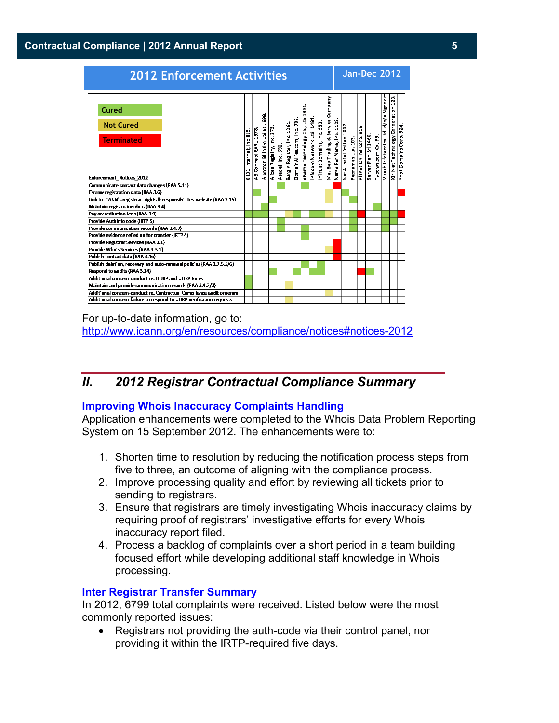### **Contractual Compliance | 2012 Annual Report 5**

| <b>2012 Enforcement Activities</b>                                                |                                     |                                        |                                             |                                  |                   |                             |                                         | Jan-Dec 2012                                    |                            |                            |                                   |                           |                            |                    |                                           |                      |                     |                                           |                                           |                         |
|-----------------------------------------------------------------------------------|-------------------------------------|----------------------------------------|---------------------------------------------|----------------------------------|-------------------|-----------------------------|-----------------------------------------|-------------------------------------------------|----------------------------|----------------------------|-----------------------------------|---------------------------|----------------------------|--------------------|-------------------------------------------|----------------------|---------------------|-------------------------------------------|-------------------------------------------|-------------------------|
| Cured<br><b>Not Cured</b><br><b>Terminated</b><br><b>Enforcement Notices 2012</b> | á<br>$\bullet$<br>0101 Internet, In | 1978<br>5.<br>Sa<br>Connect<br>œ.<br>Æ | g<br>ä.<br>l E<br>Ľ<br>Billnsim<br>Alantron | F<br>ïч<br>Alices Registry, Inc. | Asadal, Inc. 632. | Bargin Register, Inc. 1081. | $\frac{6}{5}$<br>DemainAllies.com, Inc. | ಕ<br>$\mathbf{a}$<br>E<br>ś<br>eName Technology | Info com Network Ltd. 1484 | InTrust Domains, Inc. 653. | Mat Bao Trading & Service Company | Name For Name, Inc. 1103. | 100<br>Net 4 India Limited | Pachames Ltd. 103. | ۱ń<br>붊<br>$\frac{1}{3}$<br>Planet Online | Server Plan Sri 1460 | Tuco ws.com Co. 69. | a Signdom<br>Visesh Infotecnics Ltd. d/b/ | 120.<br>Corporation<br>Xin Net Technology | ă<br>Ynot Domains Corp. |
| Communicate contact data changes (RAA 5.11)                                       |                                     |                                        |                                             |                                  |                   |                             |                                         |                                                 |                            |                            |                                   |                           |                            |                    |                                           |                      |                     |                                           |                                           |                         |
| Escrow registration data (RAA 3.6)                                                |                                     |                                        |                                             |                                  |                   |                             |                                         |                                                 |                            |                            |                                   |                           |                            |                    |                                           |                      |                     |                                           |                                           |                         |
| Link to ICANN's registrant rights & responsibilities website (RAA 3.15)           |                                     |                                        |                                             |                                  |                   |                             |                                         |                                                 |                            |                            |                                   |                           |                            |                    |                                           |                      |                     |                                           |                                           |                         |
| Maintain registration data (RAA 3.4)                                              |                                     |                                        |                                             |                                  |                   |                             |                                         |                                                 |                            |                            |                                   |                           |                            |                    |                                           |                      |                     |                                           |                                           |                         |
| Pay accreditation fees (RAA 3.9)                                                  |                                     |                                        |                                             |                                  |                   |                             |                                         |                                                 |                            |                            |                                   |                           |                            |                    |                                           |                      |                     |                                           |                                           |                         |
| Provide Authinfo code (IRTP 5)                                                    |                                     |                                        |                                             |                                  |                   |                             |                                         |                                                 |                            |                            |                                   |                           |                            |                    |                                           |                      |                     |                                           |                                           |                         |
| <b>Provide communication records (RAA 3.4.3)</b>                                  |                                     |                                        |                                             |                                  |                   |                             |                                         |                                                 |                            |                            |                                   |                           |                            |                    |                                           |                      |                     |                                           |                                           |                         |
| Provide evidence relied on for transfer (IRTP 4)                                  |                                     |                                        |                                             |                                  |                   |                             |                                         |                                                 |                            |                            |                                   |                           |                            |                    |                                           |                      |                     |                                           |                                           |                         |
| Provide Registrar Services (RAA 3.1)                                              |                                     |                                        |                                             |                                  |                   |                             |                                         |                                                 |                            |                            |                                   |                           |                            |                    |                                           |                      |                     |                                           |                                           |                         |
| Provide Whois Services (RAA 3.3.1)                                                |                                     |                                        |                                             |                                  |                   |                             |                                         |                                                 |                            |                            |                                   |                           |                            |                    |                                           |                      |                     |                                           |                                           |                         |
| Publish contact data (RAA 3.16)                                                   |                                     |                                        |                                             |                                  |                   |                             |                                         |                                                 |                            |                            |                                   |                           |                            |                    |                                           |                      |                     |                                           |                                           |                         |
| Publish deletion, recovery and auto-renewal policies (RAA 3.7.5.5/6)              |                                     |                                        |                                             |                                  |                   |                             |                                         |                                                 |                            |                            |                                   |                           |                            |                    |                                           |                      |                     |                                           |                                           |                         |
| Respond to audits (RAA 3.14)                                                      |                                     |                                        |                                             |                                  |                   |                             |                                         |                                                 |                            |                            |                                   |                           |                            |                    |                                           |                      |                     |                                           |                                           |                         |
| Additional concern-conduct re, UDRP and UDRP Rules                                |                                     |                                        |                                             |                                  |                   |                             |                                         |                                                 |                            |                            |                                   |                           |                            |                    |                                           |                      |                     |                                           |                                           |                         |
| Maintain and provide communication records (RAA 3.4.2/3)                          |                                     |                                        |                                             |                                  |                   |                             |                                         |                                                 |                            |                            |                                   |                           |                            |                    |                                           |                      |                     |                                           |                                           |                         |
| Additional concern-conduct re. Contractual Compliance audit program               |                                     |                                        |                                             |                                  |                   |                             |                                         |                                                 |                            |                            |                                   |                           |                            |                    |                                           |                      |                     |                                           |                                           |                         |
| Additional concern-failure to respond to UDRP verification requests               |                                     |                                        |                                             |                                  |                   |                             |                                         |                                                 |                            |                            |                                   |                           |                            |                    |                                           |                      |                     |                                           |                                           |                         |

For up-to-date information, go to: [http://www.icann.org/en/resources/compliance/notices#notices-2012](http://www.icann.org/en/resources/compliance/notices%23notices-2012)

# <span id="page-4-0"></span>*II. 2012 Registrar Contractual Compliance Summary*

### **Improving Whois Inaccuracy Complaints Handling**

Application enhancements were completed to the Whois Data Problem Reporting System on 15 September 2012. The enhancements were to:

- 1. Shorten time to resolution by reducing the notification process steps from five to three, an outcome of aligning with the compliance process.
- 2. Improve processing quality and effort by reviewing all tickets prior to sending to registrars.
- 3. Ensure that registrars are timely investigating Whois inaccuracy claims by requiring proof of registrars' investigative efforts for every Whois inaccuracy report filed.
- 4. Process a backlog of complaints over a short period in a team building focused effort while developing additional staff knowledge in Whois processing.

### **Inter Registrar Transfer Summary**

In 2012, 6799 total complaints were received. Listed below were the most commonly reported issues:

• Registrars not providing the auth-code via their control panel, nor providing it within the IRTP-required five days.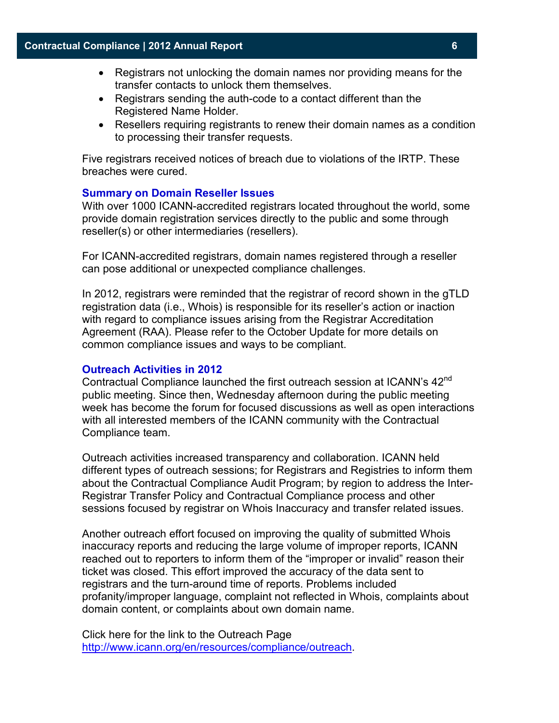- Registrars not unlocking the domain names nor providing means for the transfer contacts to unlock them themselves.
- Registrars sending the auth-code to a contact different than the Registered Name Holder.
- Resellers requiring registrants to renew their domain names as a condition to processing their transfer requests.

Five registrars received notices of breach due to violations of the IRTP. These breaches were cured.

#### **Summary on Domain Reseller Issues**

With over 1000 ICANN-accredited registrars located throughout the world, some provide domain registration services directly to the public and some through reseller(s) or other intermediaries (resellers).

For ICANN-accredited registrars, domain names registered through a reseller can pose additional or unexpected compliance challenges.

In 2012, registrars were reminded that the registrar of record shown in the gTLD registration data (i.e., Whois) is responsible for its reseller's action or inaction with regard to compliance issues arising from the Registrar Accreditation Agreement (RAA). Please refer to the October Update for more details on common compliance issues and ways to be compliant.

#### **Outreach Activities in 2012**

Contractual Compliance launched the first outreach session at ICANN's 42<sup>nd</sup> public meeting. Since then, Wednesday afternoon during the public meeting week has become the forum for focused discussions as well as open interactions with all interested members of the ICANN community with the Contractual Compliance team.

Outreach activities increased transparency and collaboration. ICANN held different types of outreach sessions; for Registrars and Registries to inform them about the Contractual Compliance Audit Program; by region to address the Inter-Registrar Transfer Policy and Contractual Compliance process and other sessions focused by registrar on Whois Inaccuracy and transfer related issues.

Another outreach effort focused on improving the quality of submitted Whois inaccuracy reports and reducing the large volume of improper reports, ICANN reached out to reporters to inform them of the "improper or invalid" reason their ticket was closed. This effort improved the accuracy of the data sent to registrars and the turn-around time of reports. Problems included profanity/improper language, complaint not reflected in Whois, complaints about domain content, or complaints about own domain name.

Click here for the link to the Outreach Page [http://www.icann.org/en/resources/compliance/outreach.](http://www.icann.org/en/resources/compliance/outreach)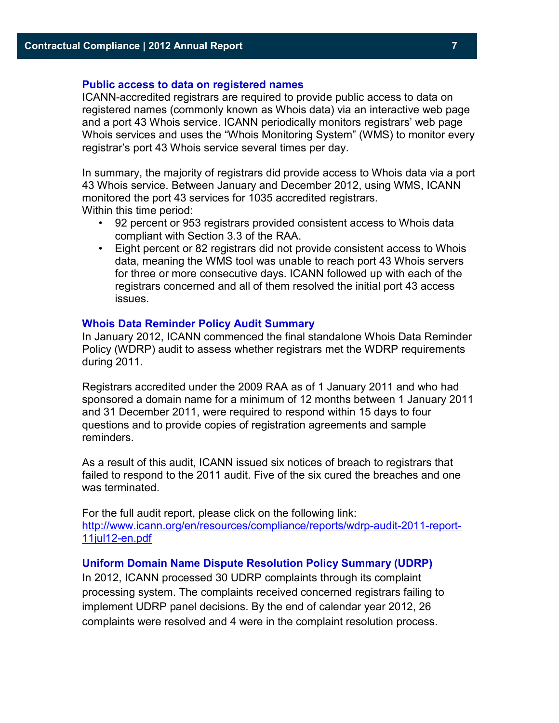#### **Public access to data on registered names**

ICANN-accredited registrars are required to provide public access to data on registered names (commonly known as Whois data) via an interactive web page and a port 43 Whois service. ICANN periodically monitors registrars' web page Whois services and uses the "Whois Monitoring System" (WMS) to monitor every registrar's port 43 Whois service several times per day.

In summary, the majority of registrars did provide access to Whois data via a port 43 Whois service. Between January and December 2012, using WMS, ICANN monitored the port 43 services for 1035 accredited registrars. Within this time period:

- 92 percent or 953 registrars provided consistent access to Whois data compliant with Section 3.3 of the RAA.
- Eight percent or 82 registrars did not provide consistent access to Whois data, meaning the WMS tool was unable to reach port 43 Whois servers for three or more consecutive days. ICANN followed up with each of the registrars concerned and all of them resolved the initial port 43 access issues.

#### **Whois Data Reminder Policy Audit Summary**

In January 2012, ICANN commenced the final standalone Whois Data Reminder Policy (WDRP) audit to assess whether registrars met the WDRP requirements during 2011.

Registrars accredited under the 2009 RAA as of 1 January 2011 and who had sponsored a domain name for a minimum of 12 months between 1 January 2011 and 31 December 2011, were required to respond within 15 days to four questions and to provide copies of registration agreements and sample reminders.

As a result of this audit, ICANN issued six notices of breach to registrars that failed to respond to the 2011 audit. Five of the six cured the breaches and one was terminated.

For the full audit report, please click on the following link: [http://www.icann.org/en/resources/compliance/reports/wdrp-audit-2011-report-](http://www.icann.org/en/resources/compliance/reports/wdrp-audit-2011-report-11jul12-en.pdf)[11jul12-en.pdf](http://www.icann.org/en/resources/compliance/reports/wdrp-audit-2011-report-11jul12-en.pdf)

#### **Uniform Domain Name Dispute Resolution Policy Summary (UDRP)**

In 2012, ICANN processed 30 UDRP complaints through its complaint processing system. The complaints received concerned registrars failing to implement UDRP panel decisions. By the end of calendar year 2012, 26 complaints were resolved and 4 were in the complaint resolution process.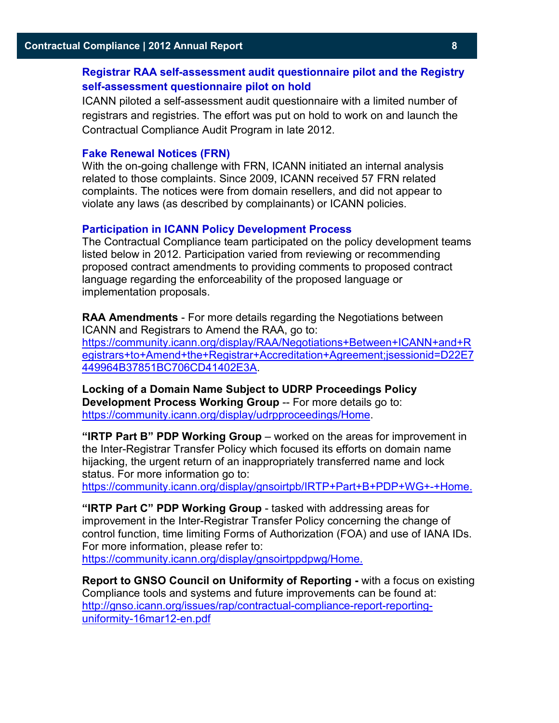## **Registrar RAA self-assessment audit questionnaire pilot and the Registry self-assessment questionnaire pilot on hold**

ICANN piloted a self-assessment audit questionnaire with a limited number of registrars and registries. The effort was put on hold to work on and launch the Contractual Compliance Audit Program in late 2012.

#### **Fake Renewal Notices (FRN)**

With the on-going challenge with FRN, ICANN initiated an internal analysis related to those complaints. Since 2009, ICANN received 57 FRN related complaints. The notices were from domain resellers, and did not appear to violate any laws (as described by complainants) or ICANN policies.

#### **Participation in ICANN Policy Development Process**

The Contractual Compliance team participated on the policy development teams listed below in 2012. Participation varied from reviewing or recommending proposed contract amendments to providing comments to proposed contract language regarding the enforceability of the proposed language or implementation proposals.

**RAA Amendments** - For more details regarding the Negotiations between ICANN and Registrars to Amend the RAA, go to: [https://community.icann.org/display/RAA/Negotiations+Between+ICANN+and+R](https://community.icann.org/display/RAA/Negotiations+Between+ICANN+and+Registrars+to+Amend+the+Registrar+Accreditation+Agreement;jsessionid=D22E7449964B37851BC706CD41402E3A) [egistrars+to+Amend+the+Registrar+Accreditation+Agreement;jsessionid=D22E7](https://community.icann.org/display/RAA/Negotiations+Between+ICANN+and+Registrars+to+Amend+the+Registrar+Accreditation+Agreement;jsessionid=D22E7449964B37851BC706CD41402E3A) [449964B37851BC706CD41402E3A.](https://community.icann.org/display/RAA/Negotiations+Between+ICANN+and+Registrars+to+Amend+the+Registrar+Accreditation+Agreement;jsessionid=D22E7449964B37851BC706CD41402E3A)

**Locking of a Domain Name Subject to UDRP Proceedings Policy Development Process Working Group** -- For more details go to: [https://community.icann.org/display/udrpproceedings/Home.](https://community.icann.org/display/udrpproceedings/Home)

**"IRTP Part B" PDP Working Group** – worked on the areas for improvement in the Inter-Registrar Transfer Policy which focused its efforts on domain name hijacking, the urgent return of an inappropriately transferred name and lock status. For more information go to:

[https://community.icann.org/display/gnsoirtpb/IRTP+Part+B+PDP+WG+-+Home.](https://community.icann.org/display/gnsoirtpb/IRTP+Part+B+PDP+WG+-+Home)

**"IRTP Part C" PDP Working Group** - tasked with addressing areas for improvement in the Inter-Registrar Transfer Policy concerning the change of control function, time limiting Forms of Authorization (FOA) and use of IANA IDs. For more information, please refer to:

[https://community.icann.org/display/gnsoirtppdpwg/Home.](https://community.icann.org/display/gnsoirtppdpwg/Home)

**Report to GNSO Council on Uniformity of Reporting -** with a focus on existing Compliance tools and systems and future improvements can be found at: [http://gnso.icann.org/issues/rap/contractual-compliance-report-reporting](http://gnso.icann.org/issues/rap/contractual-compliance-report-reporting-uniformity-16mar12-en.pdf)[uniformity-16mar12-en.pdf](http://gnso.icann.org/issues/rap/contractual-compliance-report-reporting-uniformity-16mar12-en.pdf)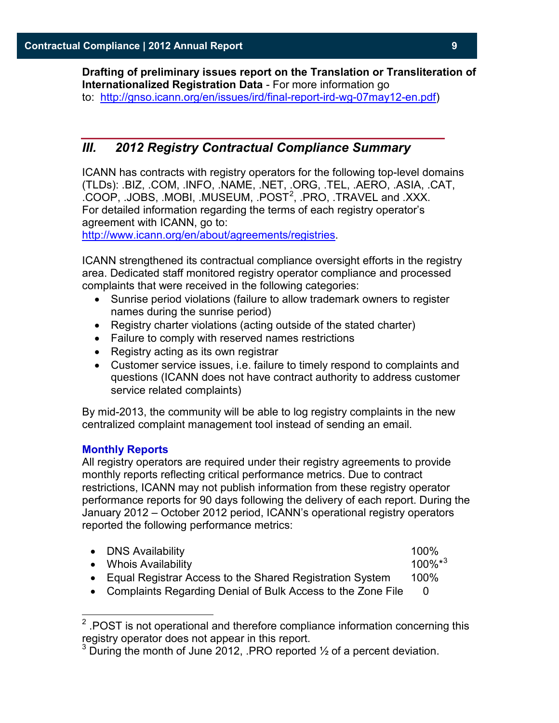**Drafting of preliminary issues report on the Translation or Transliteration of Internationalized Registration Data** - For more information go to: [http://gnso.icann.org/en/issues/ird/final-report-ird-wg-07may12-en.pdf\)](http://gnso.icann.org/en/issues/ird/final-report-ird-wg-07may12-en.pdf)

## <span id="page-8-0"></span>*III. 2012 Registry Contractual Compliance Summary*

ICANN has contracts with registry operators for the following top-level domains (TLDs): .BIZ, .COM, .INFO, .NAME, .NET, .ORG, .TEL, .AERO, .ASIA, .CAT,  $COOP$ , .JOBS, .MOBI, .MUSEUM, .POST<sup>[2](#page-8-1)</sup>, .PRO, .TRAVEL and .XXX. For detailed information regarding the terms of each registry operator's agreement with ICANN, go to:

[http://www.icann.org/en/about/agreements/registries.](http://www.icann.org/en/about/agreements/registries)

ICANN strengthened its contractual compliance oversight efforts in the registry area. Dedicated staff monitored registry operator compliance and processed complaints that were received in the following categories:

- Sunrise period violations (failure to allow trademark owners to register names during the sunrise period)
- Registry charter violations (acting outside of the stated charter)
- Failure to comply with reserved names restrictions
- Registry acting as its own registrar
- Customer service issues, i.e. failure to timely respond to complaints and questions (ICANN does not have contract authority to address customer service related complaints)

By mid-2013, the community will be able to log registry complaints in the new centralized complaint management tool instead of sending an email.

#### **Monthly Reports**

All registry operators are required under their registry agreements to provide monthly reports reflecting critical performance metrics. Due to contract restrictions, ICANN may not publish information from these registry operator performance reports for 90 days following the delivery of each report. During the January 2012 – October 2012 period, ICANN's operational registry operators reported the following performance metrics:

| • DNS Availability                                                 | 100%                   |
|--------------------------------------------------------------------|------------------------|
| • Whois Availability                                               | $100\%$ * <sup>3</sup> |
| • Equal Registrar Access to the Shared Registration System         | 100%                   |
| <b>Complaints Penarding Denial of Rulk Access to the Zone File</b> |                        |

Complaints Regarding Denial of Bulk Access to the Zone File

<span id="page-8-1"></span> $2$ .POST is not operational and therefore compliance information concerning this registry operator does not appear in this report.  $\overline{\phantom{a}}$ 

<span id="page-8-2"></span> $3$  During the month of June 2012, .PRO reported  $\frac{1}{2}$  of a percent deviation.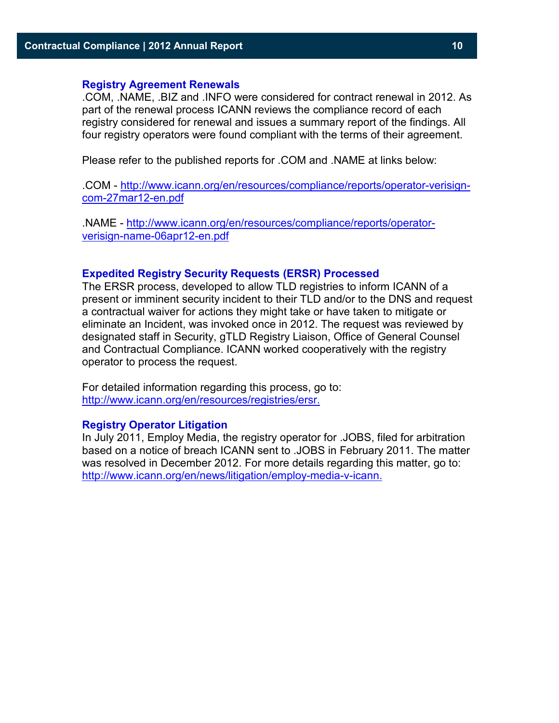#### **Registry Agreement Renewals**

.COM, .NAME, .BIZ and .INFO were considered for contract renewal in 2012. As part of the renewal process ICANN reviews the compliance record of each registry considered for renewal and issues a summary report of the findings. All four registry operators were found compliant with the terms of their agreement.

Please refer to the published reports for .COM and .NAME at links below:

.COM - [http://www.icann.org/en/resources/compliance/reports/operator-verisign](http://www.icann.org/en/resources/compliance/reports/operator-verisign-com-27mar12-en.pdf)[com-27mar12-en.pdf](http://www.icann.org/en/resources/compliance/reports/operator-verisign-com-27mar12-en.pdf)

.NAME - [http://www.icann.org/en/resources/compliance/reports/operator](http://www.icann.org/en/resources/compliance/reports/operator-verisign-name-06apr12-en.pdf)[verisign-name-06apr12-en.pdf](http://www.icann.org/en/resources/compliance/reports/operator-verisign-name-06apr12-en.pdf)

#### **Expedited Registry Security Requests (ERSR) Processed**

The ERSR process, developed to allow TLD registries to inform ICANN of a present or imminent security incident to their TLD and/or to the DNS and request a contractual waiver for actions they might take or have taken to mitigate or eliminate an Incident, was invoked once in 2012. The request was reviewed by designated staff in Security, gTLD Registry Liaison, Office of General Counsel and Contractual Compliance. ICANN worked cooperatively with the registry operator to process the request.

For detailed information regarding this process, go to: [http://www.icann.org/en/resources/registries/ersr.](http://www.icann.org/en/resources/registries/ersr)

### **Registry Operator Litigation**

In July 2011, Employ Media, the registry operator for .JOBS, filed for arbitration based on a notice of breach ICANN sent to .JOBS in February 2011. The matter was resolved in December 2012. For more details regarding this matter, go to: [http://www.icann.org/en/news/litigation/employ-media-v-icann.](http://www.icann.org/en/news/litigation/employ-media-v-icann)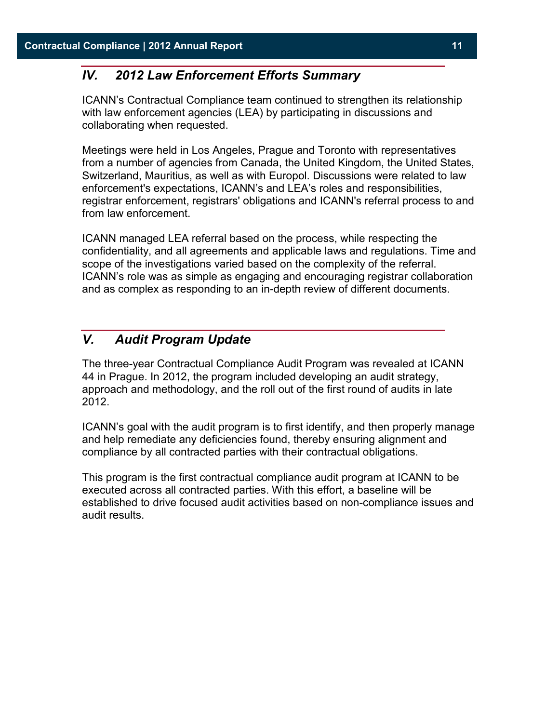## <span id="page-10-0"></span>*IV. 2012 Law Enforcement Efforts Summary*

ICANN's Contractual Compliance team continued to strengthen its relationship with law enforcement agencies (LEA) by participating in discussions and collaborating when requested.

Meetings were held in Los Angeles, Prague and Toronto with representatives from a number of agencies from Canada, the United Kingdom, the United States, Switzerland, Mauritius, as well as with Europol. Discussions were related to law enforcement's expectations, ICANN's and LEA's roles and responsibilities, registrar enforcement, registrars' obligations and ICANN's referral process to and from law enforcement.

ICANN managed LEA referral based on the process, while respecting the confidentiality, and all agreements and applicable laws and regulations. Time and scope of the investigations varied based on the complexity of the referral. ICANN's role was as simple as engaging and encouraging registrar collaboration and as complex as responding to an in-depth review of different documents.

## <span id="page-10-1"></span>*V. Audit Program Update*

The three-year Contractual Compliance Audit Program was revealed at ICANN 44 in Prague. In 2012, the program included developing an audit strategy, approach and methodology, and the roll out of the first round of audits in late 2012.

ICANN's goal with the audit program is to first identify, and then properly manage and help remediate any deficiencies found, thereby ensuring alignment and compliance by all contracted parties with their contractual obligations.

This program is the first contractual compliance audit program at ICANN to be executed across all contracted parties. With this effort, a baseline will be established to drive focused audit activities based on non-compliance issues and audit results.